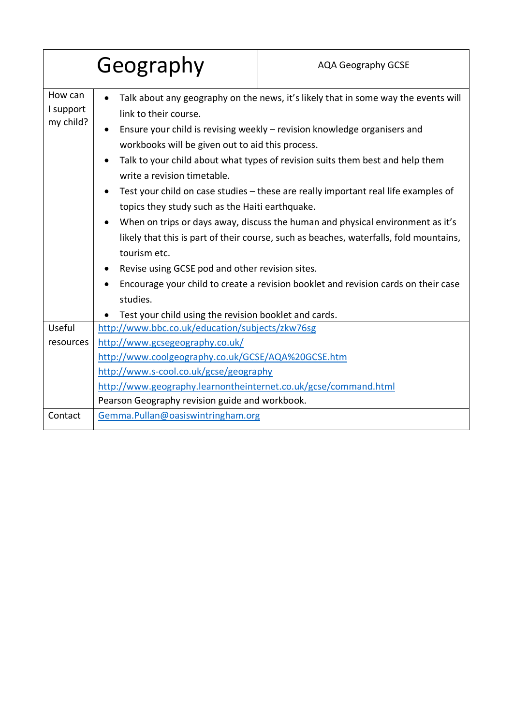|                                   | Geography                                                                                                                                                                                                                                                                                                                                                                                                                                                                                                                                                                                                                                                                                                                                                                                                                                                               | <b>AQA Geography GCSE</b> |  |
|-----------------------------------|-------------------------------------------------------------------------------------------------------------------------------------------------------------------------------------------------------------------------------------------------------------------------------------------------------------------------------------------------------------------------------------------------------------------------------------------------------------------------------------------------------------------------------------------------------------------------------------------------------------------------------------------------------------------------------------------------------------------------------------------------------------------------------------------------------------------------------------------------------------------------|---------------------------|--|
| How can<br>I support<br>my child? | Talk about any geography on the news, it's likely that in some way the events will<br>link to their course.<br>Ensure your child is revising weekly – revision knowledge organisers and<br>workbooks will be given out to aid this process.<br>Talk to your child about what types of revision suits them best and help them<br>write a revision timetable.<br>Test your child on case studies - these are really important real life examples of<br>topics they study such as the Haiti earthquake.<br>When on trips or days away, discuss the human and physical environment as it's<br>likely that this is part of their course, such as beaches, waterfalls, fold mountains,<br>tourism etc.<br>Revise using GCSE pod and other revision sites.<br>٠<br>Encourage your child to create a revision booklet and revision cards on their case<br>$\bullet$<br>studies. |                           |  |
| Useful                            | Test your child using the revision booklet and cards.<br>http://www.bbc.co.uk/education/subjects/zkw76sg                                                                                                                                                                                                                                                                                                                                                                                                                                                                                                                                                                                                                                                                                                                                                                |                           |  |
| resources                         | http://www.gcsegeography.co.uk/                                                                                                                                                                                                                                                                                                                                                                                                                                                                                                                                                                                                                                                                                                                                                                                                                                         |                           |  |
|                                   | http://www.coolgeography.co.uk/GCSE/AQA%20GCSE.htm                                                                                                                                                                                                                                                                                                                                                                                                                                                                                                                                                                                                                                                                                                                                                                                                                      |                           |  |
|                                   | http://www.s-cool.co.uk/gcse/geography                                                                                                                                                                                                                                                                                                                                                                                                                                                                                                                                                                                                                                                                                                                                                                                                                                  |                           |  |
|                                   | http://www.geography.learnontheinternet.co.uk/gcse/command.html                                                                                                                                                                                                                                                                                                                                                                                                                                                                                                                                                                                                                                                                                                                                                                                                         |                           |  |
|                                   | Pearson Geography revision guide and workbook.                                                                                                                                                                                                                                                                                                                                                                                                                                                                                                                                                                                                                                                                                                                                                                                                                          |                           |  |
| Contact                           | Gemma.Pullan@oasiswintringham.org                                                                                                                                                                                                                                                                                                                                                                                                                                                                                                                                                                                                                                                                                                                                                                                                                                       |                           |  |